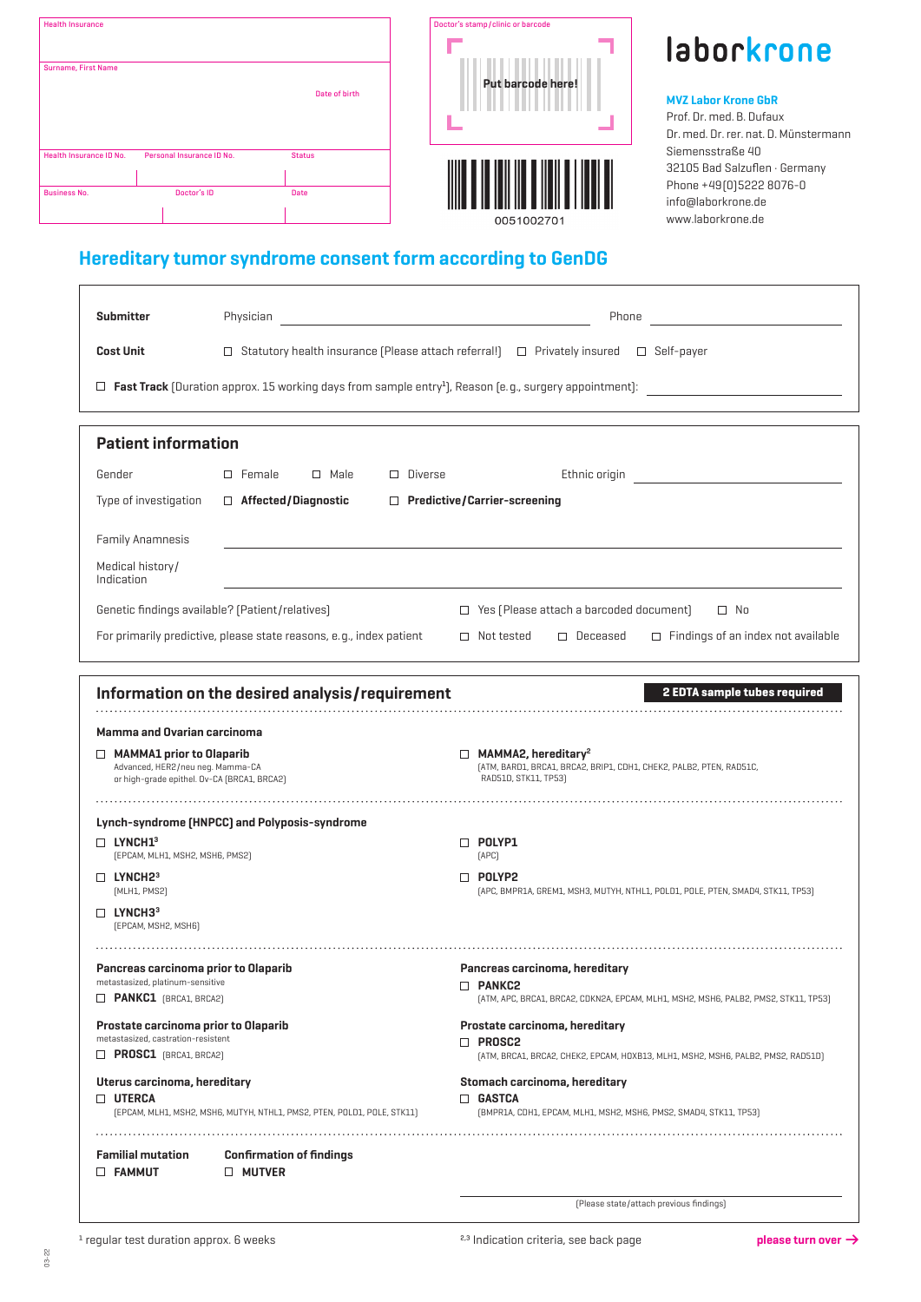| <b>Health Insurance</b> |                           |               |
|-------------------------|---------------------------|---------------|
| Surname, First Name     |                           |               |
|                         |                           | Date of birth |
|                         |                           |               |
| Health Insurance ID No. | Personal Insurance ID No. | <b>Status</b> |
| <b>Business No.</b>     | Doctor's ID               | <b>Date</b>   |
|                         |                           |               |





### MVZ Labor Krone GbR

Prof. Dr. med. B. Dufaux Dr. med. Dr. rer. nat. D. Münstermann Siemensstraße 40 32105 Bad Salzuflen · Germany Phone +49(0)5222 8076-0 info@laborkrone.de www.laborkrone.de

## Hereditary tumor syndrome consent form according to GenDG

| <b>Submitter</b>                                                                                                                                         | Physician                                                               | Phone                                                                                                                                 |  |
|----------------------------------------------------------------------------------------------------------------------------------------------------------|-------------------------------------------------------------------------|---------------------------------------------------------------------------------------------------------------------------------------|--|
| <b>Cost Unit</b>                                                                                                                                         |                                                                         | $\Box$ Statutory health insurance (Please attach referral!) $\Box$ Privately insured $\Box$ Self-payer                                |  |
|                                                                                                                                                          |                                                                         | $\Box$ Fast Track (Duration approx. 15 working days from sample entry <sup>1</sup> ), Reason (e.g., surgery appointment): $\Box$      |  |
| <b>Patient information</b>                                                                                                                               |                                                                         |                                                                                                                                       |  |
| Gender                                                                                                                                                   | $\Box$ Male<br>$\Box$ Female<br>$\Box$ Diverse                          | Ethnic origin <b>Exercise State</b>                                                                                                   |  |
| Type of investigation                                                                                                                                    | $\Box$ Affected/Diagnostic                                              | $\Box$ Predictive/Carrier-screening                                                                                                   |  |
| <b>Family Anamnesis</b>                                                                                                                                  |                                                                         |                                                                                                                                       |  |
| Medical history/<br>Indication                                                                                                                           |                                                                         |                                                                                                                                       |  |
|                                                                                                                                                          | Genetic findings available? [Patient/relatives]                         | $\Box$ Yes (Please attach a barcoded document)<br>$\square$ No                                                                        |  |
|                                                                                                                                                          | For primarily predictive, please state reasons, e.g., index patient     | $\Box$ Deceased<br>$\Box$ Findings of an index not available<br>$\Box$ Not tested                                                     |  |
| <b>Mamma and Ovarian carcinoma</b><br>$\Box$ MAMMA1 prior to Olaparib<br>Advanced, HER2/neu neg. Mamma-CA<br>or high-grade epithel. Ov-CA (BRCA1, BRCA2) |                                                                         | $\Box$ MAMMA2, hereditary <sup>2</sup><br>(ATM, BARD1, BRCA1, BRCA2, BRIP1, CDH1, CHEK2, PALB2, PTEN, RAD51C,<br>RAD51D, STK11, TP53) |  |
| $\Box$ LYNCH1 <sup>3</sup><br>[EPCAM, MLH1, MSH2, MSH6, PMS2]                                                                                            | Lynch-syndrome (HNPCC) and Polyposis-syndrome                           | $\Box$ POLYP1<br>[APC]                                                                                                                |  |
| $\Box$ LYNCH2 <sup>3</sup><br>[MLH1, PMS2]<br>$\Box$ LYNCH3 <sup>3</sup>                                                                                 |                                                                         | $\Box$ POLYP2<br>[APC, BMPR1A, GREM1, MSH3, MUTYH, NTHL1, POLD1, POLE, PTEN, SMAD4, STK11, TP53]                                      |  |
| [EPCAM, MSH2, MSH6]                                                                                                                                      |                                                                         |                                                                                                                                       |  |
| Pancreas carcinoma prior to Olaparib<br>metastasized, platinum-sensitive<br>PANKC1 [BRCA1, BRCA2]                                                        |                                                                         | Pancreas carcinoma, hereditary<br>D PANKC2<br>[ATM, APC, BRCA1, BRCA2, CDKN2A, EPCAM, MLH1, MSH2, MSH6, PALB2, PMS2, STK11, TP53]     |  |
| Prostate carcinoma prior to Olaparib                                                                                                                     |                                                                         | Prostate carcinoma, hereditary                                                                                                        |  |
| metastasized, castration-resistent<br>$\Box$ <b>PROSC1</b> [BRCA1, BRCA2]                                                                                |                                                                         | $\Box$ Prosc2<br>[ATM, BRCA1, BRCA2, CHEK2, EPCAM, HOXB13, MLH1, MSH2, MSH6, PALB2, PMS2, RAD51D]                                     |  |
| Uterus carcinoma, hereditary<br>$\Box$ UTERCA                                                                                                            | [EPCAM, MLH1, MSH2, MSH6, MUTYH, NTHL1, PMS2, PTEN, POLD1, POLE, STK11] | Stomach carcinoma, hereditary<br>$\Box$ GASTCA<br>[BMPR1A, CDH1, EPCAM, MLH1, MSH2, MSH6, PMS2, SMAD4, STK11, TP53]                   |  |
| <b>Familial mutation</b><br><b>D</b> FAMMUT                                                                                                              | <b>Confirmation of findings</b><br><b>D MUTVER</b>                      |                                                                                                                                       |  |
|                                                                                                                                                          |                                                                         | [Please state/attach previous findings]                                                                                               |  |

03-22